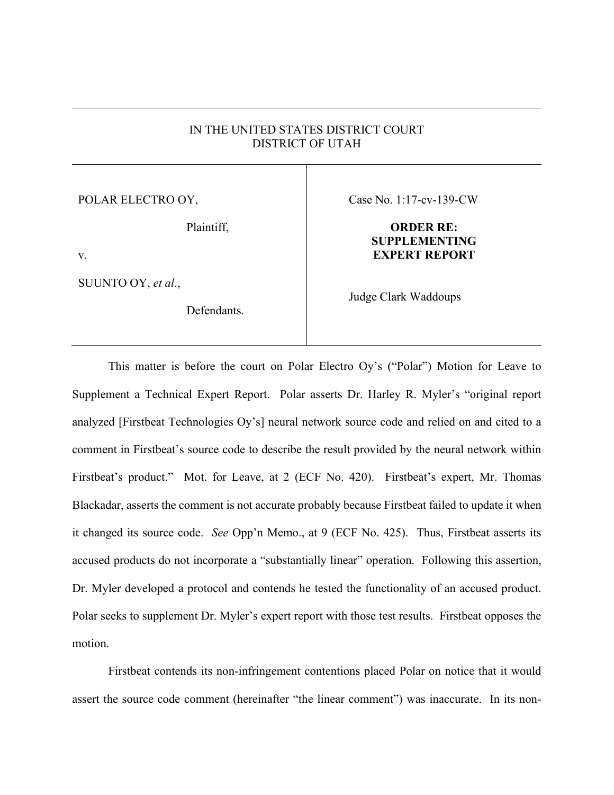## IN THE UNITED STATES DISTRICT COURT DISTRICT OF UTAH

POLAR ELECTRO OY,

Plaintiff,

v.

SUUNTO OY, *et al.*,

Defendants.

Case No. 1:17-cv-139-CW

## **ORDER RE: SUPPLEMENTING EXPERT REPORT**

Judge Clark Waddoups

This matter is before the court on Polar Electro Oy's ("Polar") Motion for Leave to Supplement a Technical Expert Report. Polar asserts Dr. Harley R. Myler's "original report analyzed [Firstbeat Technologies Oy's] neural network source code and relied on and cited to a comment in Firstbeat's source code to describe the result provided by the neural network within Firstbeat's product." Mot. for Leave, at 2 (ECF No. 420). Firstbeat's expert, Mr. Thomas Blackadar, asserts the comment is not accurate probably because Firstbeat failed to update it when it changed its source code. *See* Opp'n Memo., at 9 (ECF No. 425). Thus, Firstbeat asserts its accused products do not incorporate a "substantially linear" operation. Following this assertion, Dr. Myler developed a protocol and contends he tested the functionality of an accused product. Polar seeks to supplement Dr. Myler's expert report with those test results. Firstbeat opposes the motion.

Firstbeat contends its non-infringement contentions placed Polar on notice that it would assert the source code comment (hereinafter "the linear comment") was inaccurate. In its non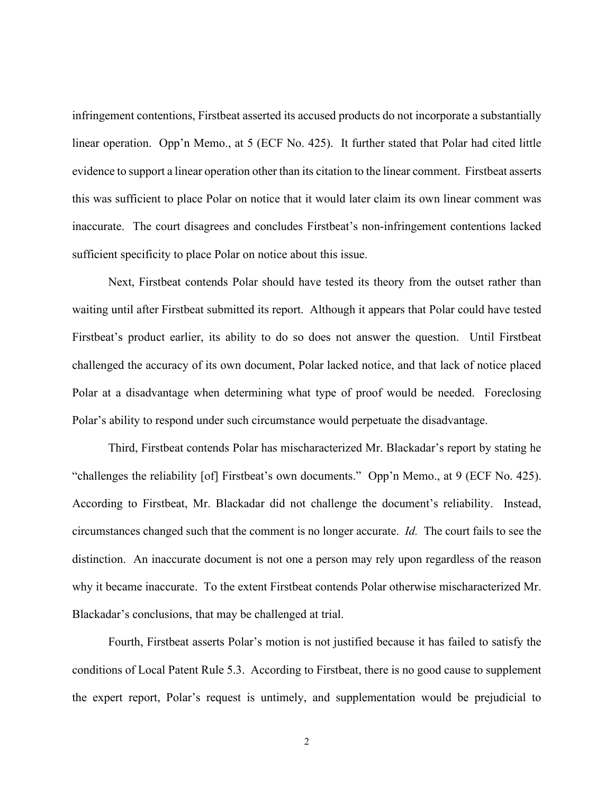infringement contentions, Firstbeat asserted its accused products do not incorporate a substantially linear operation. Opp'n Memo., at 5 (ECF No. 425). It further stated that Polar had cited little evidence to support a linear operation other than its citation to the linear comment. Firstbeat asserts this was sufficient to place Polar on notice that it would later claim its own linear comment was inaccurate. The court disagrees and concludes Firstbeat's non-infringement contentions lacked sufficient specificity to place Polar on notice about this issue.

Next, Firstbeat contends Polar should have tested its theory from the outset rather than waiting until after Firstbeat submitted its report. Although it appears that Polar could have tested Firstbeat's product earlier, its ability to do so does not answer the question. Until Firstbeat challenged the accuracy of its own document, Polar lacked notice, and that lack of notice placed Polar at a disadvantage when determining what type of proof would be needed. Foreclosing Polar's ability to respond under such circumstance would perpetuate the disadvantage.

Third, Firstbeat contends Polar has mischaracterized Mr. Blackadar's report by stating he "challenges the reliability [of] Firstbeat's own documents." Opp'n Memo., at 9 (ECF No. 425). According to Firstbeat, Mr. Blackadar did not challenge the document's reliability. Instead, circumstances changed such that the comment is no longer accurate. *Id.* The court fails to see the distinction. An inaccurate document is not one a person may rely upon regardless of the reason why it became inaccurate. To the extent Firstbeat contends Polar otherwise mischaracterized Mr. Blackadar's conclusions, that may be challenged at trial.

Fourth, Firstbeat asserts Polar's motion is not justified because it has failed to satisfy the conditions of Local Patent Rule 5.3. According to Firstbeat, there is no good cause to supplement the expert report, Polar's request is untimely, and supplementation would be prejudicial to